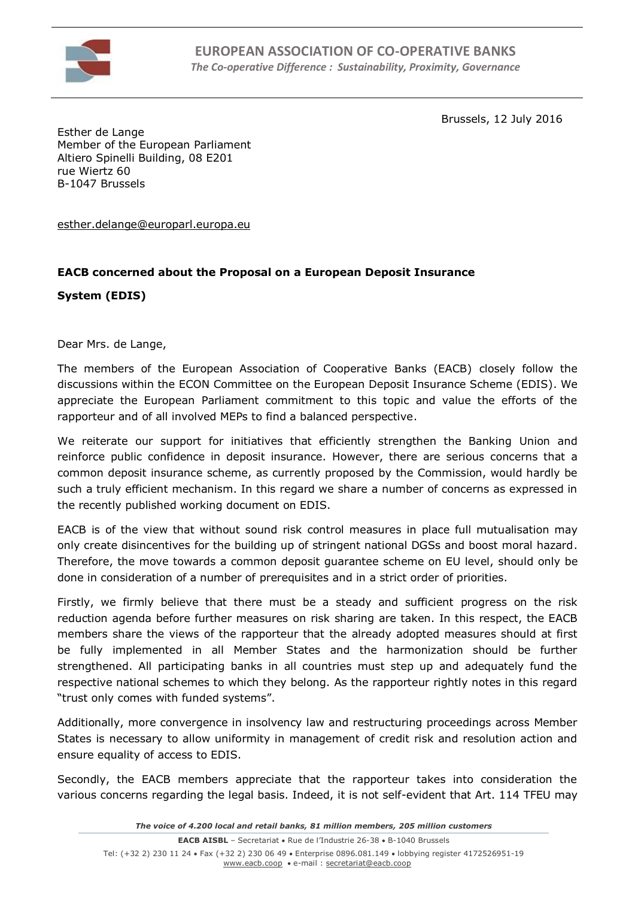

Brussels, 12 July 2016

Esther de Lange Member of the European Parliament Altiero Spinelli Building, 08 E201 rue Wiertz 60 B-1047 Brussels

esther.delange@europarl.europa.eu

## **EACB concerned about the Proposal on a European Deposit Insurance**

**System (EDIS)**

Dear Mrs. de Lange,

The members of the European Association of Cooperative Banks (EACB) closely follow the discussions within the ECON Committee on the European Deposit Insurance Scheme (EDIS). We appreciate the European Parliament commitment to this topic and value the efforts of the rapporteur and of all involved MEPs to find a balanced perspective.

We reiterate our support for initiatives that efficiently strengthen the Banking Union and reinforce public confidence in deposit insurance. However, there are serious concerns that a common deposit insurance scheme, as currently proposed by the Commission, would hardly be such a truly efficient mechanism. In this regard we share a number of concerns as expressed in the recently published working document on EDIS.

EACB is of the view that without sound risk control measures in place full mutualisation may only create disincentives for the building up of stringent national DGSs and boost moral hazard. Therefore, the move towards a common deposit guarantee scheme on EU level, should only be done in consideration of a number of prerequisites and in a strict order of priorities.

Firstly, we firmly believe that there must be a steady and sufficient progress on the risk reduction agenda before further measures on risk sharing are taken. In this respect, the EACB members share the views of the rapporteur that the already adopted measures should at first be fully implemented in all Member States and the harmonization should be further strengthened. All participating banks in all countries must step up and adequately fund the respective national schemes to which they belong. As the rapporteur rightly notes in this regard "trust only comes with funded systems".

Additionally, more convergence in insolvency law and restructuring proceedings across Member States is necessary to allow uniformity in management of credit risk and resolution action and ensure equality of access to EDIS.

Secondly, the EACB members appreciate that the rapporteur takes into consideration the various concerns regarding the legal basis. Indeed, it is not self-evident that Art. 114 TFEU may

*The voice of 4.200 local and retail banks, 81 million members, 205 million customers*